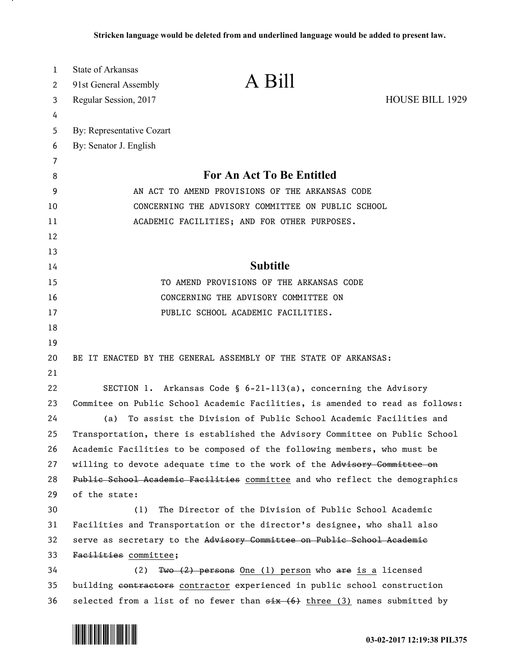| 1        | <b>State of Arkansas</b>                                                             | A Bill                                                          |                        |
|----------|--------------------------------------------------------------------------------------|-----------------------------------------------------------------|------------------------|
| 2        | 91st General Assembly                                                                |                                                                 |                        |
| 3        | Regular Session, 2017                                                                |                                                                 | <b>HOUSE BILL 1929</b> |
| 4        |                                                                                      |                                                                 |                        |
| 5        | By: Representative Cozart                                                            |                                                                 |                        |
| 6        | By: Senator J. English                                                               |                                                                 |                        |
| 7        |                                                                                      | For An Act To Be Entitled                                       |                        |
| 8        |                                                                                      |                                                                 |                        |
| 9        | AN ACT TO AMEND PROVISIONS OF THE ARKANSAS CODE                                      |                                                                 |                        |
| 10       | CONCERNING THE ADVISORY COMMITTEE ON PUBLIC SCHOOL                                   |                                                                 |                        |
| 11       |                                                                                      | ACADEMIC FACILITIES; AND FOR OTHER PURPOSES.                    |                        |
| 12<br>13 |                                                                                      |                                                                 |                        |
| 14       |                                                                                      | <b>Subtitle</b>                                                 |                        |
| 15       | TO AMEND PROVISIONS OF THE ARKANSAS CODE                                             |                                                                 |                        |
| 16       | CONCERNING THE ADVISORY COMMITTEE ON                                                 |                                                                 |                        |
| 17       | PUBLIC SCHOOL ACADEMIC FACILITIES.                                                   |                                                                 |                        |
| 18       |                                                                                      |                                                                 |                        |
| 19       |                                                                                      |                                                                 |                        |
| 20       |                                                                                      | BE IT ENACTED BY THE GENERAL ASSEMBLY OF THE STATE OF ARKANSAS: |                        |
| 21       |                                                                                      |                                                                 |                        |
| 22       |                                                                                      | SECTION 1. Arkansas Code § 6-21-113(a), concerning the Advisory |                        |
| 23       | Commitee on Public School Academic Facilities, is amended to read as follows:        |                                                                 |                        |
| 24       | To assist the Division of Public School Academic Facilities and<br>(a)               |                                                                 |                        |
| 25       | Transportation, there is established the Advisory Committee on Public School         |                                                                 |                        |
| 26       | Academic Facilities to be composed of the following members, who must be             |                                                                 |                        |
| 27       | willing to devote adequate time to the work of the Advisory Committee on             |                                                                 |                        |
| 28       | Public School Academic Facilities committee and who reflect the demographics         |                                                                 |                        |
| 29       | of the state:                                                                        |                                                                 |                        |
| 30       | (1)                                                                                  | The Director of the Division of Public School Academic          |                        |
| 31       | Facilities and Transportation or the director's designee, who shall also             |                                                                 |                        |
| 32       | serve as secretary to the Advisory Committee on Public School Academic               |                                                                 |                        |
| 33       | Facilities committee;                                                                |                                                                 |                        |
| 34       | (2)                                                                                  | Two $(2)$ persons One (1) person who are is a licensed          |                        |
| 35       | building contractors contractor experienced in public school construction            |                                                                 |                        |
| 36       | selected from a list of no fewer than $\frac{1}{x}$ (6) three (3) names submitted by |                                                                 |                        |



<u>. на п</u>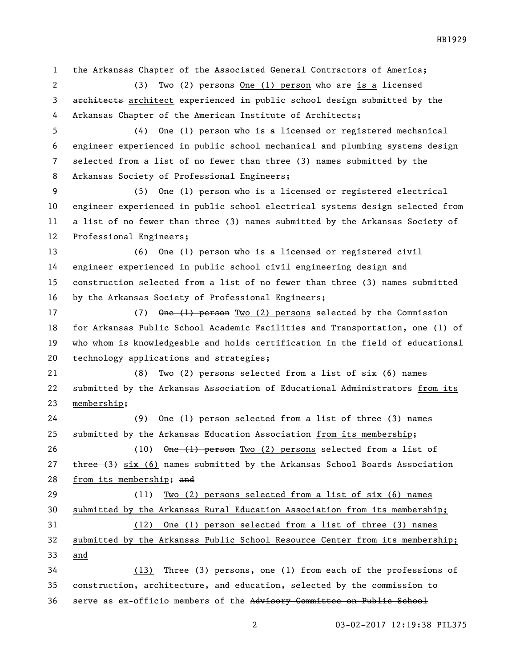the Arkansas Chapter of the Associated General Contractors of America; 2 (3) Two (2) persons One (1) person who are is a licensed 3 architects architect experienced in public school design submitted by the Arkansas Chapter of the American Institute of Architects; (4) One (1) person who is a licensed or registered mechanical engineer experienced in public school mechanical and plumbing systems design selected from a list of no fewer than three (3) names submitted by the Arkansas Society of Professional Engineers; (5) One (1) person who is a licensed or registered electrical engineer experienced in public school electrical systems design selected from a list of no fewer than three (3) names submitted by the Arkansas Society of Professional Engineers; (6) One (1) person who is a licensed or registered civil engineer experienced in public school civil engineering design and construction selected from a list of no fewer than three (3) names submitted by the Arkansas Society of Professional Engineers; 17 (7) One (1) person Two (2) persons selected by the Commission for Arkansas Public School Academic Facilities and Transportation, one (1) of 19 who whom is knowledgeable and holds certification in the field of educational technology applications and strategies; (8) Two (2) persons selected from a list of six (6) names submitted by the Arkansas Association of Educational Administrators from its membership; (9) One (1) person selected from a list of three (3) names submitted by the Arkansas Education Association from its membership; (10) One (1) person Two (2) persons selected from a list of  $t$  three  $(3)$  six  $(6)$  names submitted by the Arkansas School Boards Association from its membership; and (11) Two (2) persons selected from a list of six (6) names submitted by the Arkansas Rural Education Association from its membership; (12) One (1) person selected from a list of three (3) names submitted by the Arkansas Public School Resource Center from its membership; and (13) Three (3) persons, one (1) from each of the professions of construction, architecture, and education, selected by the commission to serve as ex-officio members of the Advisory Committee on Public School

03-02-2017 12:19:38 PIL375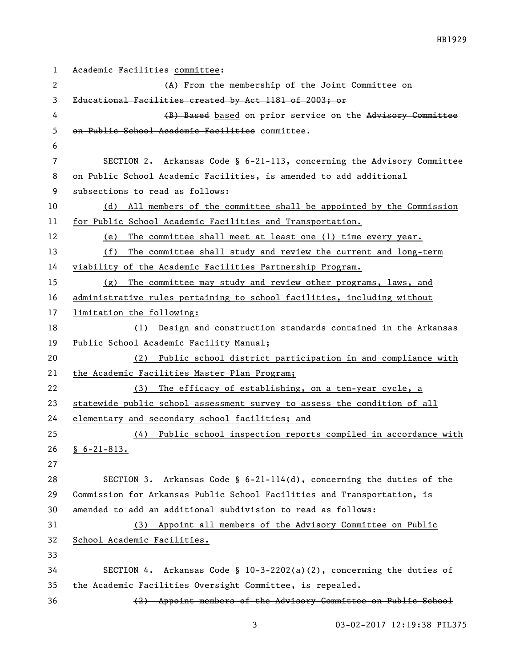```
1 Academic Facilities committee:
 2 (A) From the membership of the Joint Committee on 
3 Educational Facilities created by Act 1181 of 2003; or
 4 (B) Based based on prior service on the Advisory Committee
5 on Public School Academic Facilities committee.
6
7 SECTION 2. Arkansas Code § 6-21-113, concerning the Advisory Committee 
8 on Public School Academic Facilities, is amended to add additional 
9 subsections to read as follows:
10 (d) All members of the committee shall be appointed by the Commission 
11 for Public School Academic Facilities and Transportation.
12 (e) The committee shall meet at least one (1) time every year.
13 (f) The committee shall study and review the current and long-term 
14 viability of the Academic Facilities Partnership Program.
15 (g) The committee may study and review other programs, laws, and 
16 administrative rules pertaining to school facilities, including without 
17 limitation the following: 
18 (1) Design and construction standards contained in the Arkansas 
19 Public School Academic Facility Manual;
20 (2) Public school district participation in and compliance with 
21 the Academic Facilities Master Plan Program;
22 (3) The efficacy of establishing, on a ten-year cycle, a 
23 statewide public school assessment survey to assess the condition of all 
24 elementary and secondary school facilities; and
25 (4) Public school inspection reports compiled in accordance with 
26 \underline{8} 6-21-813.
27
28 SECTION 3. Arkansas Code § 6-21-114(d), concerning the duties of the 
29 Commission for Arkansas Public School Facilities and Transportation, is 
30 amended to add an additional subdivision to read as follows:
31 (3) Appoint all members of the Advisory Committee on Public 
32 School Academic Facilities.
33
34 SECTION 4. Arkansas Code § 10-3-2202(a)(2), concerning the duties of 
35 the Academic Facilities Oversight Committee, is repealed.
36 (2) Appoint members of the Advisory Committee on Public School
```